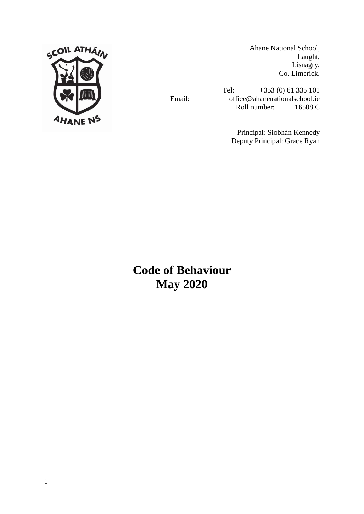

Ahane National School, Laught, Lisnagry, Co. Limerick.

Tel: +353 (0) 61 335 101 Email: office@ahanenationalschool.ie Roll number: 16508 C

> Principal: Siobhán Kennedy Deputy Principal: Grace Ryan

**Code of Behaviour May 2020**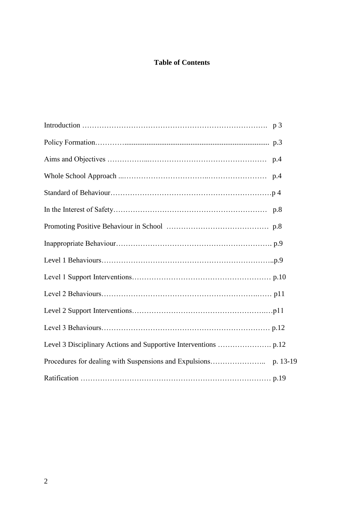## **Table of Contents**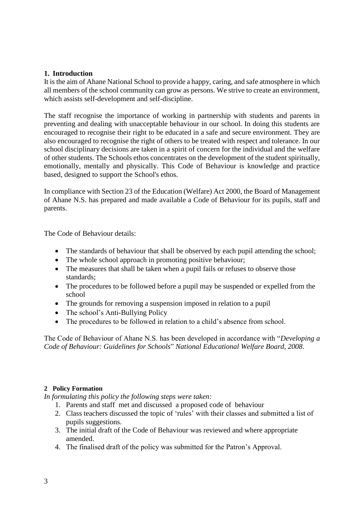### **1. Introduction**

It is the aim of Ahane National School to provide a happy, caring, and safe atmosphere in which all members of the school community can grow as persons. We strive to create an environment, which assists self-development and self-discipline.

The staff recognise the importance of working in partnership with students and parents in preventing and dealing with unacceptable behaviour in our school. In doing this students are encouraged to recognise their right to be educated in a safe and secure environment. They are also encouraged to recognise the right of others to be treated with respect and tolerance. In our school disciplinary decisions are taken in a spirit of concern for the individual and the welfare of other students. The Schools ethos concentrates on the development of the student spiritually, emotionally, mentally and physically. This Code of Behaviour is knowledge and practice based, designed to support the School's ethos.

In compliance with Section 23 of the Education (Welfare) Act 2000, the Board of Management of Ahane N.S. has prepared and made available a Code of Behaviour for its pupils, staff and parents.

The Code of Behaviour details:

- The standards of behaviour that shall be observed by each pupil attending the school;
- The whole school approach in promoting positive behaviour;
- The measures that shall be taken when a pupil fails or refuses to observe those standards;
- The procedures to be followed before a pupil may be suspended or expelled from the school
- The grounds for removing a suspension imposed in relation to a pupil
- The school's Anti-Bullying Policy
- The procedures to be followed in relation to a child's absence from school.

The Code of Behaviour of Ahane N.S. has been developed in accordance with "*Developing a Code of Behaviour: Guidelines for Schools*" *National Educational Welfare Board, 2008*.

## **2 Policy Formation**

*In formulating this policy the following steps were taken:*

- 1. Parents and staff met and discussed a proposed code of behaviour
- 2. Class teachers discussed the topic of 'rules' with their classes and submitted a list of pupils suggestions.
- 3. The initial draft of the Code of Behaviour was reviewed and where appropriate amended.
- 4. The finalised draft of the policy was submitted for the Patron's Approval.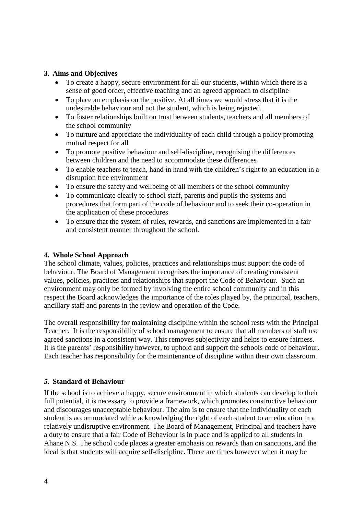## **3. Aims and Objectives**

- To create a happy, secure environment for all our students, within which there is a sense of good order, effective teaching and an agreed approach to discipline
- To place an emphasis on the positive. At all times we would stress that it is the undesirable behaviour and not the student, which is being rejected.
- To foster relationships built on trust between students, teachers and all members of the school community
- To nurture and appreciate the individuality of each child through a policy promoting mutual respect for all
- To promote positive behaviour and self-discipline, recognising the differences between children and the need to accommodate these differences
- To enable teachers to teach, hand in hand with the children's right to an education in a disruption free environment
- To ensure the safety and wellbeing of all members of the school community
- To communicate clearly to school staff, parents and pupils the systems and procedures that form part of the code of behaviour and to seek their co-operation in the application of these procedures
- To ensure that the system of rules, rewards, and sanctions are implemented in a fair and consistent manner throughout the school.

### **4. Whole School Approach**

The school climate, values, policies, practices and relationships must support the code of behaviour. The Board of Management recognises the importance of creating consistent values, policies, practices and relationships that support the Code of Behaviour. Such an environment may only be formed by involving the entire school community and in this respect the Board acknowledges the importance of the roles played by, the principal, teachers, ancillary staff and parents in the review and operation of the Code.

The overall responsibility for maintaining discipline within the school rests with the Principal Teacher. It is the responsibility of school management to ensure that all members of staff use agreed sanctions in a consistent way. This removes subjectivity and helps to ensure fairness. It is the parents' responsibility however, to uphold and support the schools code of behaviour. Each teacher has responsibility for the maintenance of discipline within their own classroom.

### *5.* **Standard of Behaviour**

If the school is to achieve a happy, secure environment in which students can develop to their full potential, it is necessary to provide a framework, which promotes constructive behaviour and discourages unacceptable behaviour. The aim is to ensure that the individuality of each student is accommodated while acknowledging the right of each student to an education in a relatively undisruptive environment. The Board of Management, Principal and teachers have a duty to ensure that a fair Code of Behaviour is in place and is applied to all students in Ahane N.S. The school code places a greater emphasis on rewards than on sanctions, and the ideal is that students will acquire self-discipline. There are times however when it may be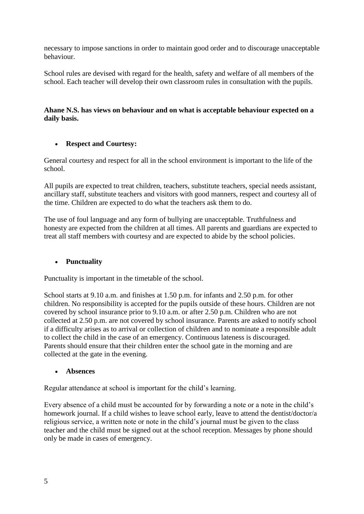necessary to impose sanctions in order to maintain good order and to discourage unacceptable behaviour.

School rules are devised with regard for the health, safety and welfare of all members of the school. Each teacher will develop their own classroom rules in consultation with the pupils.

## **Ahane N.S. has views on behaviour and on what is acceptable behaviour expected on a daily basis.**

## **Respect and Courtesy:**

General courtesy and respect for all in the school environment is important to the life of the school.

All pupils are expected to treat children, teachers, substitute teachers, special needs assistant, ancillary staff, substitute teachers and visitors with good manners, respect and courtesy all of the time. Children are expected to do what the teachers ask them to do.

The use of foul language and any form of bullying are unacceptable. Truthfulness and honesty are expected from the children at all times. All parents and guardians are expected to treat all staff members with courtesy and are expected to abide by the school policies.

## **Punctuality**

Punctuality is important in the timetable of the school.

School starts at 9.10 a.m. and finishes at 1.50 p.m. for infants and 2.50 p.m. for other children. No responsibility is accepted for the pupils outside of these hours. Children are not covered by school insurance prior to 9.10 a.m. or after 2.50 p.m. Children who are not collected at 2.50 p.m. are not covered by school insurance. Parents are asked to notify school if a difficulty arises as to arrival or collection of children and to nominate a responsible adult to collect the child in the case of an emergency. Continuous lateness is discouraged. Parents should ensure that their children enter the school gate in the morning and are collected at the gate in the evening.

## **Absences**

Regular attendance at school is important for the child's learning.

Every absence of a child must be accounted for by forwarding a note or a note in the child's homework journal. If a child wishes to leave school early, leave to attend the dentist/doctor/a religious service, a written note or note in the child's journal must be given to the class teacher and the child must be signed out at the school reception. Messages by phone should only be made in cases of emergency.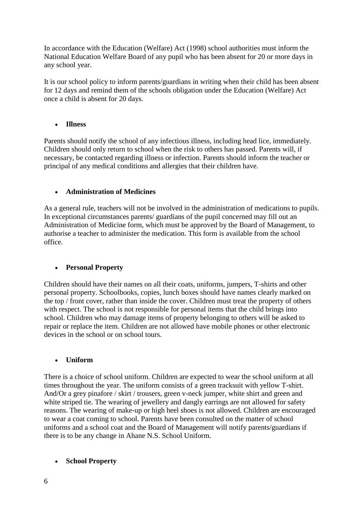In accordance with the Education (Welfare) Act (1998) school authorities must inform the National Education Welfare Board of any pupil who has been absent for 20 or more days in any school year.

It is our school policy to inform parents/guardians in writing when their child has been absent for 12 days and remind them of the schools obligation under the Education (Welfare) Act once a child is absent for 20 days.

## **Illness**

Parents should notify the school of any infectious illness, including head lice, immediately. Children should only return to school when the risk to others has passed. Parents will, if necessary, be contacted regarding illness or infection. Parents should inform the teacher or principal of any medical conditions and allergies that their children have.

## **Administration of Medicines**

As a general rule, teachers will not be involved in the administration of medications to pupils. In exceptional circumstances parents/ guardians of the pupil concerned may fill out an Administration of Medicine form, which must be approved by the Board of Management, to authorise a teacher to administer the medication. This form is available from the school office.

## **Personal Property**

Children should have their names on all their coats, uniforms, jumpers, T-shirts and other personal property. Schoolbooks, copies, lunch boxes should have names clearly marked on the top / front cover, rather than inside the cover. Children must treat the property of others with respect. The school is not responsible for personal items that the child brings into school. Children who may damage items of property belonging to others will be asked to repair or replace the item. Children are not allowed have mobile phones or other electronic devices in the school or on school tours.

## **Uniform**

There is a choice of school uniform. Children are expected to wear the school uniform at all times throughout the year. The uniform consists of a green tracksuit with yellow T-shirt. And/Or a grey pinafore / skirt / trousers, green v-neck jumper, white shirt and green and white striped tie. The wearing of jewellery and dangly earrings are not allowed for safety reasons. The wearing of make-up or high heel shoes is not allowed. Children are encouraged to wear a coat coming to school. Parents have been consulted on the matter of school uniforms and a school coat and the Board of Management will notify parents/guardians if there is to be any change in Ahane N.S. School Uniform.

## **School Property**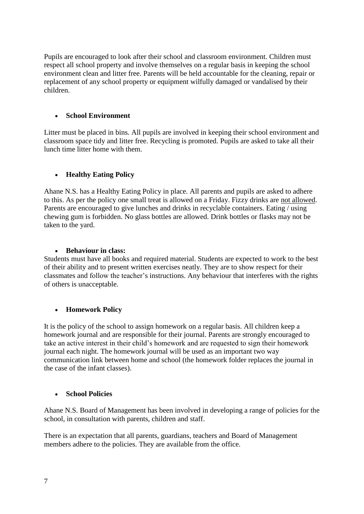Pupils are encouraged to look after their school and classroom environment. Children must respect all school property and involve themselves on a regular basis in keeping the school environment clean and litter free. Parents will be held accountable for the cleaning, repair or replacement of any school property or equipment wilfully damaged or vandalised by their children.

## **School Environment**

Litter must be placed in bins. All pupils are involved in keeping their school environment and classroom space tidy and litter free. Recycling is promoted. Pupils are asked to take all their lunch time litter home with them.

## **Healthy Eating Policy**

Ahane N.S. has a Healthy Eating Policy in place. All parents and pupils are asked to adhere to this. As per the policy one small treat is allowed on a Friday. Fizzy drinks are not allowed. Parents are encouraged to give lunches and drinks in recyclable containers. Eating / using chewing gum is forbidden. No glass bottles are allowed. Drink bottles or flasks may not be taken to the yard.

### **Behaviour in class:**

Students must have all books and required material. Students are expected to work to the best of their ability and to present written exercises neatly. They are to show respect for their classmates and follow the teacher's instructions. Any behaviour that interferes with the rights of others is unacceptable.

## **Homework Policy**

It is the policy of the school to assign homework on a regular basis. All children keep a homework journal and are responsible for their journal. Parents are strongly encouraged to take an active interest in their child's homework and are requested to sign their homework journal each night. The homework journal will be used as an important two way communication link between home and school (the homework folder replaces the journal in the case of the infant classes).

## **School Policies**

Ahane N.S. Board of Management has been involved in developing a range of policies for the school, in consultation with parents, children and staff.

There is an expectation that all parents, guardians, teachers and Board of Management members adhere to the policies. They are available from the office.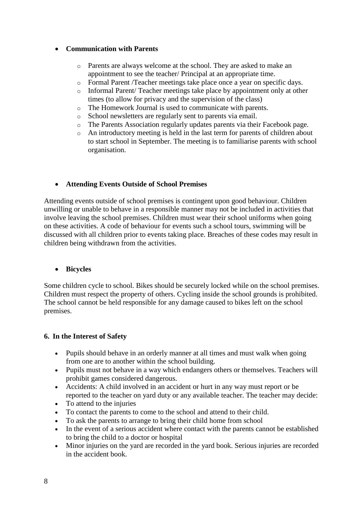## **Communication with Parents**

- o Parents are always welcome at the school. They are asked to make an appointment to see the teacher/ Principal at an appropriate time.
- o Formal Parent /Teacher meetings take place once a year on specific days.
- o Informal Parent/ Teacher meetings take place by appointment only at other times (to allow for privacy and the supervision of the class)
- o The Homework Journal is used to communicate with parents.
- o School newsletters are regularly sent to parents via email.
- o The Parents Association regularly updates parents via their Facebook page.
- o An introductory meeting is held in the last term for parents of children about to start school in September. The meeting is to familiarise parents with school organisation.

## **Attending Events Outside of School Premises**

Attending events outside of school premises is contingent upon good behaviour. Children unwilling or unable to behave in a responsible manner may not be included in activities that involve leaving the school premises. Children must wear their school uniforms when going on these activities. A code of behaviour for events such a school tours, swimming will be discussed with all children prior to events taking place. Breaches of these codes may result in children being withdrawn from the activities.

### **Bicycles**

Some children cycle to school. Bikes should be securely locked while on the school premises. Children must respect the property of others. Cycling inside the school grounds is prohibited. The school cannot be held responsible for any damage caused to bikes left on the school premises.

### **6. In the Interest of Safety**

- Pupils should behave in an orderly manner at all times and must walk when going from one are to another within the school building.
- Pupils must not behave in a way which endangers others or themselves. Teachers will prohibit games considered dangerous.
- Accidents: A child involved in an accident or hurt in any way must report or be reported to the teacher on yard duty or any available teacher. The teacher may decide:
- To attend to the injuries
- To contact the parents to come to the school and attend to their child.
- To ask the parents to arrange to bring their child home from school
- In the event of a serious accident where contact with the parents cannot be established to bring the child to a doctor or hospital
- Minor injuries on the yard are recorded in the yard book. Serious injuries are recorded in the accident book.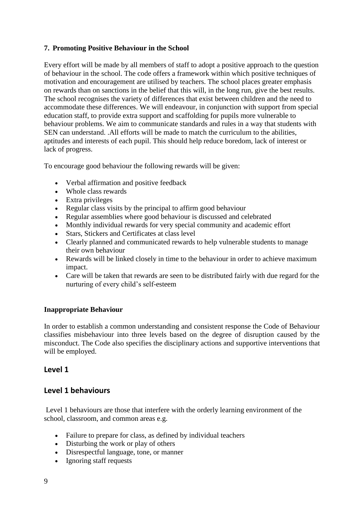## **7. Promoting Positive Behaviour in the School**

Every effort will be made by all members of staff to adopt a positive approach to the question of behaviour in the school. The code offers a framework within which positive techniques of motivation and encouragement are utilised by teachers. The school places greater emphasis on rewards than on sanctions in the belief that this will, in the long run, give the best results. The school recognises the variety of differences that exist between children and the need to accommodate these differences. We will endeavour, in conjunction with support from special education staff, to provide extra support and scaffolding for pupils more vulnerable to behaviour problems. We aim to communicate standards and rules in a way that students with SEN can understand. .All efforts will be made to match the curriculum to the abilities, aptitudes and interests of each pupil. This should help reduce boredom, lack of interest or lack of progress.

To encourage good behaviour the following rewards will be given:

- Verbal affirmation and positive feedback
- Whole class rewards
- Extra privileges
- Regular class visits by the principal to affirm good behaviour
- Regular assemblies where good behaviour is discussed and celebrated
- Monthly individual rewards for very special community and academic effort
- Stars, Stickers and Certificates at class level
- Clearly planned and communicated rewards to help vulnerable students to manage their own behaviour
- Rewards will be linked closely in time to the behaviour in order to achieve maximum impact.
- Care will be taken that rewards are seen to be distributed fairly with due regard for the nurturing of every child's self-esteem

## **Inappropriate Behaviour**

In order to establish a common understanding and consistent response the Code of Behaviour classifies misbehaviour into three levels based on the degree of disruption caused by the misconduct. The Code also specifies the disciplinary actions and supportive interventions that will be employed.

## **Level 1**

## **Level 1 behaviours**

Level 1 behaviours are those that interfere with the orderly learning environment of the school, classroom, and common areas e.g.

- Failure to prepare for class, as defined by individual teachers
- Disturbing the work or play of others
- Disrespectful language, tone, or manner
- Ignoring staff requests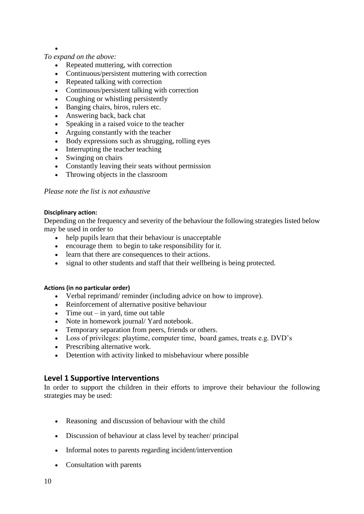## *To expand on the above:*

 $\bullet$ 

- Repeated muttering, with correction
- Continuous/persistent muttering with correction
- Repeated talking with correction
- Continuous/persistent talking with correction
- Coughing or whistling persistently
- Banging chairs, biros, rulers etc.
- Answering back, back chat
- Speaking in a raised voice to the teacher
- Arguing constantly with the teacher
- Body expressions such as shrugging, rolling eyes
- Interrupting the teacher teaching
- Swinging on chairs
- Constantly leaving their seats without permission
- Throwing objects in the classroom

### *Please note the list is not exhaustive*

#### **Disciplinary action:**

Depending on the frequency and severity of the behaviour the following strategies listed below may be used in order to

- help pupils learn that their behaviour is unacceptable
- encourage them to begin to take responsibility for it.
- learn that there are consequences to their actions.
- signal to other students and staff that their wellbeing is being protected.

### **Actions (in no particular order)**

- Verbal reprimand/ reminder (including advice on how to improve).
- Reinforcement of alternative positive behaviour
- $\bullet$  Time out in yard, time out table
- Note in homework journal/ Yard notebook.
- Temporary separation from peers, friends or others.
- Loss of privileges: playtime, computer time, board games, treats e.g. DVD's
- Prescribing alternative work.
- Detention with activity linked to misbehaviour where possible

## **Level 1 Supportive Interventions**

In order to support the children in their efforts to improve their behaviour the following strategies may be used:

- Reasoning and discussion of behaviour with the child
- Discussion of behaviour at class level by teacher/ principal
- Informal notes to parents regarding incident/intervention
- Consultation with parents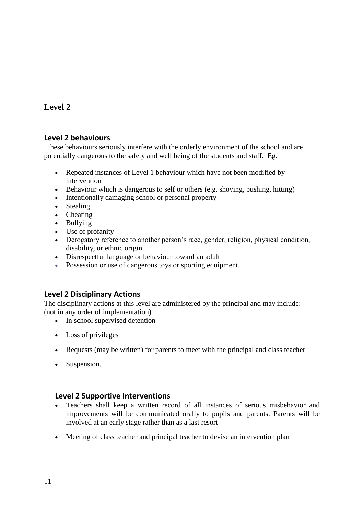# **Level 2**

## **Level 2 behaviours**

These behaviours seriously interfere with the orderly environment of the school and are potentially dangerous to the safety and well being of the students and staff. Eg.

- Repeated instances of Level 1 behaviour which have not been modified by intervention
- Behaviour which is dangerous to self or others (e.g. shoving, pushing, hitting)
- Intentionally damaging school or personal property
- Stealing
- Cheating
- Bullying
- Use of profanity
- Derogatory reference to another person's race, gender, religion, physical condition, disability, or ethnic origin
- Disrespectful language or behaviour toward an adult
- Possession or use of dangerous toys or sporting equipment.

## **Level 2 Disciplinary Actions**

The disciplinary actions at this level are administered by the principal and may include: (not in any order of implementation)

- In school supervised detention
- Loss of privileges
- Requests (may be written) for parents to meet with the principal and class teacher
- Suspension.

## **Level 2 Supportive Interventions**

- Teachers shall keep a written record of all instances of serious misbehavior and improvements will be communicated orally to pupils and parents. Parents will be involved at an early stage rather than as a last resort
- Meeting of class teacher and principal teacher to devise an intervention plan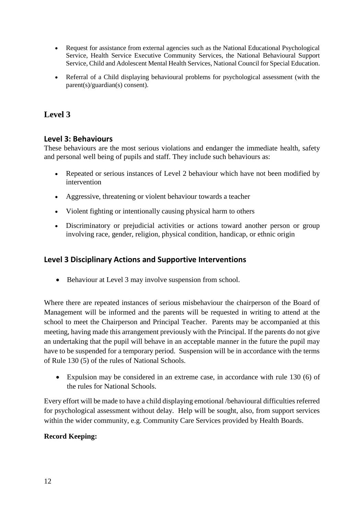- Request for assistance from external agencies such as the National Educational Psychological Service, Health Service Executive Community Services, the National Behavioural Support Service, Child and Adolescent Mental Health Services, National Council for Special Education.
- Referral of a Child displaying behavioural problems for psychological assessment (with the parent(s)/guardian(s) consent).

# **Level 3**

## **Level 3: Behaviours**

These behaviours are the most serious violations and endanger the immediate health, safety and personal well being of pupils and staff. They include such behaviours as:

- Repeated or serious instances of Level 2 behaviour which have not been modified by intervention
- Aggressive, threatening or violent behaviour towards a teacher
- Violent fighting or intentionally causing physical harm to others
- Discriminatory or prejudicial activities or actions toward another person or group involving race, gender, religion, physical condition, handicap, or ethnic origin

## **Level 3 Disciplinary Actions and Supportive Interventions**

• Behaviour at Level 3 may involve suspension from school.

Where there are repeated instances of serious misbehaviour the chairperson of the Board of Management will be informed and the parents will be requested in writing to attend at the school to meet the Chairperson and Principal Teacher. Parents may be accompanied at this meeting, having made this arrangement previously with the Principal. If the parents do not give an undertaking that the pupil will behave in an acceptable manner in the future the pupil may have to be suspended for a temporary period. Suspension will be in accordance with the terms of Rule 130 (5) of the rules of National Schools.

 Expulsion may be considered in an extreme case, in accordance with rule 130 (6) of the rules for National Schools.

Every effort will be made to have a child displaying emotional /behavioural difficulties referred for psychological assessment without delay. Help will be sought, also, from support services within the wider community, e.g. Community Care Services provided by Health Boards.

## **Record Keeping:**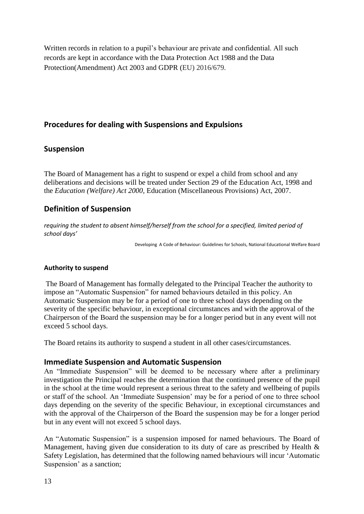Written records in relation to a pupil's behaviour are private and confidential. All such records are kept in accordance with the Data Protection Act 1988 and the Data Protection(Amendment) Act 2003 and GDPR (EU) 2016/679.

## **Procedures for dealing with Suspensions and Expulsions**

## **Suspension**

The Board of Management has a right to suspend or expel a child from school and any deliberations and decisions will be treated under Section 29 of the Education Act, 1998 and the *Education (Welfare) Act 2000,* Education (Miscellaneous Provisions) Act, 2007.

## **Definition of Suspension**

*requiring the student to absent himself/herself from the school for a specified, limited period of school days'*

Developing A Code of Behaviour: Guidelines for Schools, National Educational Welfare Board

## **Authority to suspend**

The Board of Management has formally delegated to the Principal Teacher the authority to impose an "Automatic Suspension" for named behaviours detailed in this policy. An Automatic Suspension may be for a period of one to three school days depending on the severity of the specific behaviour, in exceptional circumstances and with the approval of the Chairperson of the Board the suspension may be for a longer period but in any event will not exceed 5 school days.

The Board retains its authority to suspend a student in all other cases/circumstances.

## **Immediate Suspension and Automatic Suspension**

An "Immediate Suspension" will be deemed to be necessary where after a preliminary investigation the Principal reaches the determination that the continued presence of the pupil in the school at the time would represent a serious threat to the safety and wellbeing of pupils or staff of the school. An 'Immediate Suspension' may be for a period of one to three school days depending on the severity of the specific Behaviour, in exceptional circumstances and with the approval of the Chairperson of the Board the suspension may be for a longer period but in any event will not exceed 5 school days.

An "Automatic Suspension" is a suspension imposed for named behaviours. The Board of Management, having given due consideration to its duty of care as prescribed by Health & Safety Legislation, has determined that the following named behaviours will incur 'Automatic Suspension' as a sanction;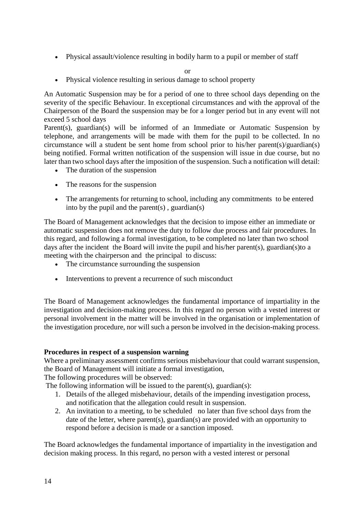Physical assault/violence resulting in bodily harm to a pupil or member of staff

or

Physical violence resulting in serious damage to school property

An Automatic Suspension may be for a period of one to three school days depending on the severity of the specific Behaviour. In exceptional circumstances and with the approval of the Chairperson of the Board the suspension may be for a longer period but in any event will not exceed 5 school days

Parent(s), guardian(s) will be informed of an Immediate or Automatic Suspension by telephone, and arrangements will be made with them for the pupil to be collected. In no circumstance will a student be sent home from school prior to his/her parent(s)/guardian(s) being notified. Formal written notification of the suspension will issue in due course, but no later than two school days after the imposition of the suspension. Such a notification will detail:

- The duration of the suspension
- The reasons for the suspension
- The arrangements for returning to school, including any commitments to be entered into by the pupil and the parent(s), guardian(s)

The Board of Management acknowledges that the decision to impose either an immediate or automatic suspension does not remove the duty to follow due process and fair procedures. In this regard, and following a formal investigation, to be completed no later than two school days after the incident the Board will invite the pupil and his/her parent(s), guardian(s) to a meeting with the chairperson and the principal to discuss:

- The circumstance surrounding the suspension
- Interventions to prevent a recurrence of such misconduct

The Board of Management acknowledges the fundamental importance of impartiality in the investigation and decision-making process. In this regard no person with a vested interest or personal involvement in the matter will be involved in the organisation or implementation of the investigation procedure, nor will such a person be involved in the decision-making process.

### **Procedures in respect of a suspension warning**

Where a preliminary assessment confirms serious misbehaviour that could warrant suspension, the Board of Management will initiate a formal investigation,

The following procedures will be observed:

The following information will be issued to the parent(s), guardian(s):

- 1. Details of the alleged misbehaviour, details of the impending investigation process, and notification that the allegation could result in suspension.
- 2. An invitation to a meeting, to be scheduled no later than five school days from the date of the letter, where parent(s), guardian(s) are provided with an opportunity to respond before a decision is made or a sanction imposed.

The Board acknowledges the fundamental importance of impartiality in the investigation and decision making process. In this regard, no person with a vested interest or personal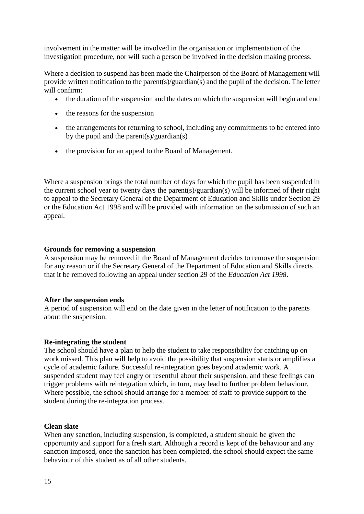involvement in the matter will be involved in the organisation or implementation of the investigation procedure, nor will such a person be involved in the decision making process.

Where a decision to suspend has been made the Chairperson of the Board of Management will provide written notification to the parent(s)/guardian(s) and the pupil of the decision. The letter will confirm:

- the duration of the suspension and the dates on which the suspension will begin and end
- the reasons for the suspension
- the arrangements for returning to school, including any commitments to be entered into by the pupil and the parent(s)/guardian(s)
- the provision for an appeal to the Board of Management.

Where a suspension brings the total number of days for which the pupil has been suspended in the current school year to twenty days the parent(s)/guardian(s) will be informed of their right to appeal to the Secretary General of the Department of Education and Skills under Section 29 or the Education Act 1998 and will be provided with information on the submission of such an appeal.

### **Grounds for removing a suspension**

A suspension may be removed if the Board of Management decides to remove the suspension for any reason or if the Secretary General of the Department of Education and Skills directs that it be removed following an appeal under section 29 of the *Education Act 1998*.

### **After the suspension ends**

A period of suspension will end on the date given in the letter of notification to the parents about the suspension.

### **Re-integrating the student**

The school should have a plan to help the student to take responsibility for catching up on work missed. This plan will help to avoid the possibility that suspension starts or amplifies a cycle of academic failure. Successful re-integration goes beyond academic work. A suspended student may feel angry or resentful about their suspension, and these feelings can trigger problems with reintegration which, in turn, may lead to further problem behaviour. Where possible, the school should arrange for a member of staff to provide support to the student during the re-integration process.

### **Clean slate**

When any sanction, including suspension, is completed, a student should be given the opportunity and support for a fresh start. Although a record is kept of the behaviour and any sanction imposed, once the sanction has been completed, the school should expect the same behaviour of this student as of all other students.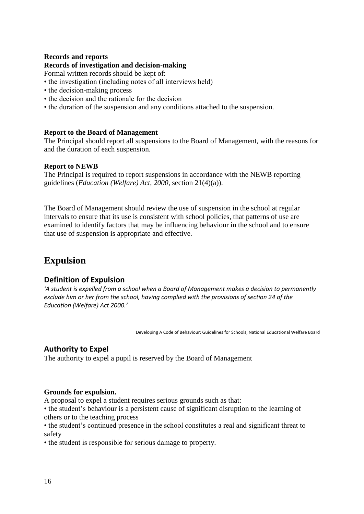### **Records and reports**

### **Records of investigation and decision-making**

Formal written records should be kept of:

- the investigation (including notes of all interviews held)
- the decision-making process
- the decision and the rationale for the decision
- the duration of the suspension and any conditions attached to the suspension.

### **Report to the Board of Management**

The Principal should report all suspensions to the Board of Management, with the reasons for and the duration of each suspension.

#### **Report to NEWB**

The Principal is required to report suspensions in accordance with the NEWB reporting guidelines (*Education (Welfare) Act, 2000*, section 21(4)(a)).

The Board of Management should review the use of suspension in the school at regular intervals to ensure that its use is consistent with school policies, that patterns of use are examined to identify factors that may be influencing behaviour in the school and to ensure that use of suspension is appropriate and effective.

# **Expulsion**

### **Definition of Expulsion**

*'A student is expelled from a school when a Board of Management makes a decision to permanently exclude him or her from the school, having complied with the provisions of section 24 of the Education (Welfare) Act 2000.'*

Developing A Code of Behaviour: Guidelines for Schools, National Educational Welfare Board

## **Authority to Expel**

The authority to expel a pupil is reserved by the Board of Management

#### **Grounds for expulsion.**

A proposal to expel a student requires serious grounds such as that:

• the student's behaviour is a persistent cause of significant disruption to the learning of others or to the teaching process

• the student's continued presence in the school constitutes a real and significant threat to safety

• the student is responsible for serious damage to property.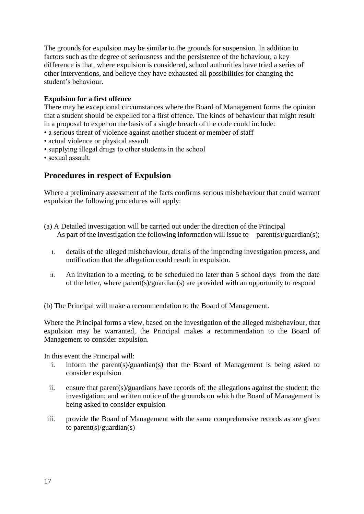The grounds for expulsion may be similar to the grounds for suspension. In addition to factors such as the degree of seriousness and the persistence of the behaviour, a key difference is that, where expulsion is considered, school authorities have tried a series of other interventions, and believe they have exhausted all possibilities for changing the student's behaviour.

## **Expulsion for a first offence**

There may be exceptional circumstances where the Board of Management forms the opinion that a student should be expelled for a first offence. The kinds of behaviour that might result in a proposal to expel on the basis of a single breach of the code could include:

- a serious threat of violence against another student or member of staff
- actual violence or physical assault
- supplying illegal drugs to other students in the school
- sexual assault.

## **Procedures in respect of Expulsion**

Where a preliminary assessment of the facts confirms serious misbehaviour that could warrant expulsion the following procedures will apply:

- (a) A Detailed investigation will be carried out under the direction of the Principal As part of the investigation the following information will issue to parent(s)/guardian(s);
	- i. details of the alleged misbehaviour, details of the impending investigation process, and notification that the allegation could result in expulsion.
	- ii. An invitation to a meeting, to be scheduled no later than 5 school days from the date of the letter, where parent(s)/guardian(s) are provided with an opportunity to respond
- (b) The Principal will make a recommendation to the Board of Management.

Where the Principal forms a view, based on the investigation of the alleged misbehaviour, that expulsion may be warranted, the Principal makes a recommendation to the Board of Management to consider expulsion.

In this event the Principal will:

- i. inform the parent(s)/guardian(s) that the Board of Management is being asked to consider expulsion
- ii. ensure that parent(s)/guardians have records of: the allegations against the student; the investigation; and written notice of the grounds on which the Board of Management is being asked to consider expulsion
- iii. provide the Board of Management with the same comprehensive records as are given to parent(s)/guardian(s)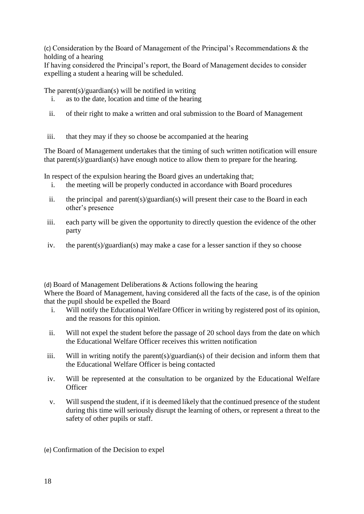(c) Consideration by the Board of Management of the Principal's Recommendations & the holding of a hearing

If having considered the Principal's report, the Board of Management decides to consider expelling a student a hearing will be scheduled.

The parent(s)/guardian(s) will be notified in writing

- i. as to the date, location and time of the hearing
- ii. of their right to make a written and oral submission to the Board of Management
- iii. that they may if they so choose be accompanied at the hearing

The Board of Management undertakes that the timing of such written notification will ensure that parent(s)/guardian(s) have enough notice to allow them to prepare for the hearing.

In respect of the expulsion hearing the Board gives an undertaking that;

- i. the meeting will be properly conducted in accordance with Board procedures
- ii. the principal and parent(s)/guardian(s) will present their case to the Board in each other's presence
- iii. each party will be given the opportunity to directly question the evidence of the other party
- iv. the parent(s)/guardian(s) may make a case for a lesser sanction if they so choose

(d) Board of Management Deliberations & Actions following the hearing Where the Board of Management, having considered all the facts of the case, is of the opinion that the pupil should be expelled the Board

- i. Will notify the Educational Welfare Officer in writing by registered post of its opinion, and the reasons for this opinion.
- ii. Will not expel the student before the passage of 20 school days from the date on which the Educational Welfare Officer receives this written notification
- iii. Will in writing notify the parent(s)/guardian(s) of their decision and inform them that the Educational Welfare Officer is being contacted
- iv. Will be represented at the consultation to be organized by the Educational Welfare **Officer**
- v. Will suspend the student, if it is deemed likely that the continued presence of the student during this time will seriously disrupt the learning of others, or represent a threat to the safety of other pupils or staff.
- (e) Confirmation of the Decision to expel